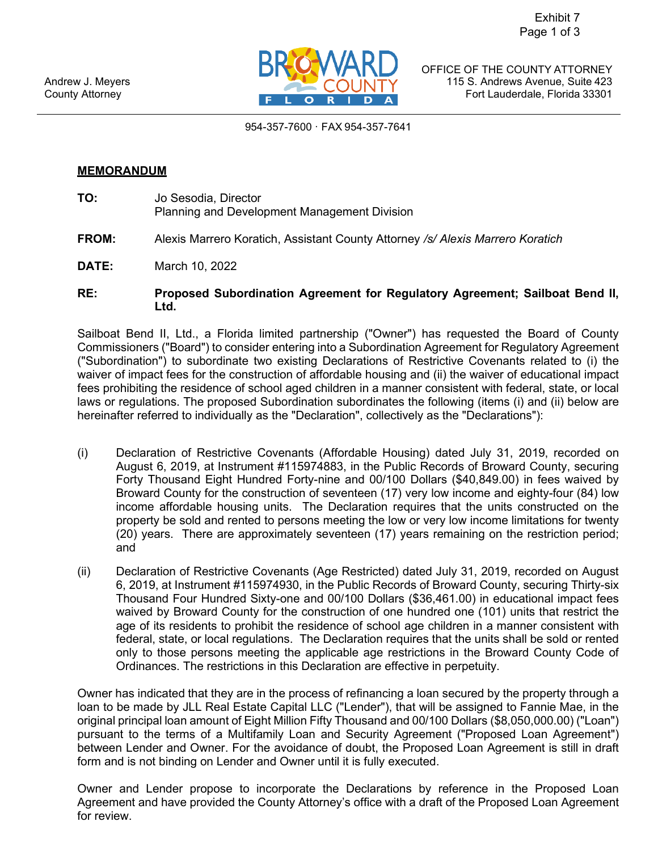

County Attorney **Fort Lauderdale, Florida 33301** OFFICE OF THE COUNTY ATTORNEY Andrew J. Meyers **115 S. Andrews Avenue, Suite 423** 

954-357-7600 · FAX 954-357-7641

## **MEMORANDUM**

- **TO:** Jo Sesodia, Director Planning and Development Management Division
- **FROM:** Alexis Marrero Koratich, Assistant County Attorney */s/ Alexis Marrero Koratich*
- **DATE:** March 10, 2022
- **RE: Proposed Subordination Agreement for Regulatory Agreement; Sailboat Bend II, Ltd.**

 waiver of impact fees for the construction of affordable housing and (ii) the waiver of educational impact fees prohibiting the residence of school aged children in a manner consistent with federal, state, or local laws or regulations. The proposed Subordination subordinates the following (items (i) and (ii) below are hereinafter referred to individually as the "Declaration", collectively as the "Declarations"): Sailboat Bend II, Ltd., a Florida limited partnership ("Owner") has requested the Board of County Commissioners ("Board") to consider entering into a Subordination Agreement for Regulatory Agreement ("Subordination") to subordinate two existing Declarations of Restrictive Covenants related to (i) the

- (i) Declaration of Restrictive Covenants (Affordable Housing) dated July 31, 2019, recorded on Forty Thousand Eight Hundred Forty-nine and 00/100 Dollars ([\\$40,849.00](https://40,849.00)) in fees waived by Broward County for the construction of seventeen (17) very low income and eighty-four (84) low property be sold and rented to persons meeting the low or very low income limitations for twenty August 6, 2019, at Instrument #115974883, in the Public Records of Broward County, securing income affordable housing units. The Declaration requires that the units constructed on the (20) years. There are approximately seventeen (17) years remaining on the restriction period; and
- waived by Broward County for the construction of one hundred one (101) units that restrict the (ii) Declaration of Restrictive Covenants (Age Restricted) dated July 31, 2019, recorded on August 6, 2019, at Instrument #115974930, in the Public Records of Broward County, securing Thirty-six Thousand Four Hundred Sixty-one and 00/100 Dollars ([\\$36,461.00](https://36,461.00)) in educational impact fees age of its residents to prohibit the residence of school age children in a manner consistent with federal, state, or local regulations. The Declaration requires that the units shall be sold or rented only to those persons meeting the applicable age restrictions in the Broward County Code of Ordinances. The restrictions in this Declaration are effective in perpetuity.

 loan to be made by JLL Real Estate Capital LLC ("Lender"), that will be assigned to Fannie Mae, in the pursuant to the terms of a Multifamily Loan and Security Agreement ("Proposed Loan Agreement") between Lender and Owner. For the avoidance of doubt, the Proposed Loan Agreement is still in draft Owner has indicated that they are in the process of refinancing a loan secured by the property through a original principal loan amount of Eight Million Fifty Thousand and 00/100 Dollars ([\\$8,050,000.00](https://8,050,000.00)) ("Loan") form and is not binding on Lender and Owner until it is fully executed.

 Owner and Lender propose to incorporate the Declarations by reference in the Proposed Loan for review. Agreement and have provided the County Attorney's office with a draft of the Proposed Loan Agreement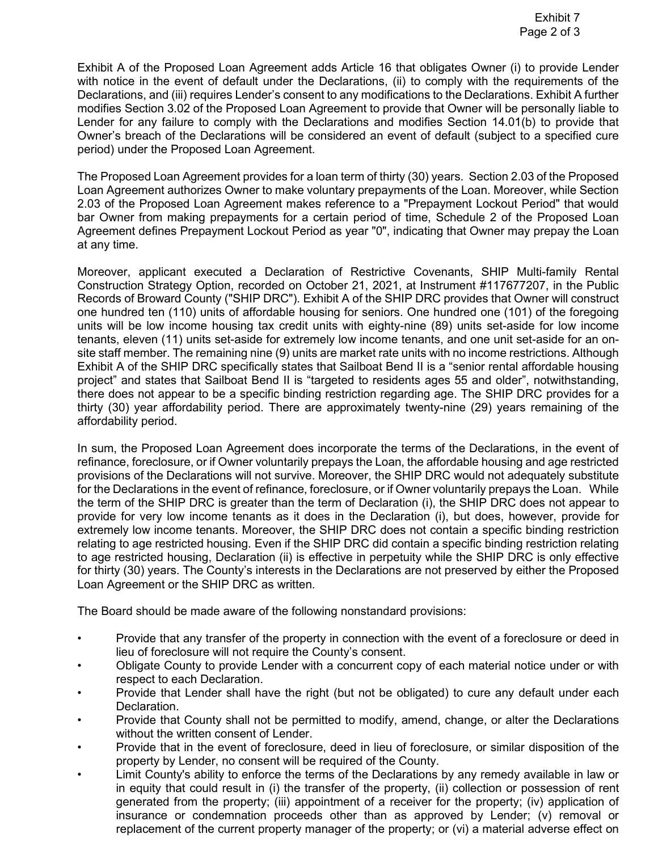Declarations, and (iii) requires Lender's consent to any modifications to the Declarations. Exhibit A further Lender for any failure to comply with the Declarations and modifies Section 14.01(b) to provide that Exhibit A of the Proposed Loan Agreement adds Article 16 that obligates Owner (i) to provide Lender with notice in the event of default under the Declarations, (ii) to comply with the requirements of the modifies Section 3.02 of the Proposed Loan Agreement to provide that Owner will be personally liable to Owner's breach of the Declarations will be considered an event of default (subject to a specified cure period) under the Proposed Loan Agreement.

 The Proposed Loan Agreement provides for a loan term of thirty (30) years. Section 2.03 of the Proposed 2.03 of the Proposed Loan Agreement makes reference to a "Prepayment Lockout Period" that would bar Owner from making prepayments for a certain period of time, Schedule 2 of the Proposed Loan Agreement defines Prepayment Lockout Period as year "0", indicating that Owner may prepay the Loan Loan Agreement authorizes Owner to make voluntary prepayments of the Loan. Moreover, while Section at any time.

 Construction Strategy Option, recorded on October 21, 2021, at Instrument #117677207, in the Public one hundred ten (110) units of affordable housing for seniors. One hundred one (101) of the foregoing tenants, eleven (11) units set-aside for extremely low income tenants, and one unit set-aside for an on- Exhibit A of the SHIP DRC specifically states that Sailboat Bend II is a "senior rental affordable housing Moreover, applicant executed a Declaration of Restrictive Covenants, SHIP Multi-family Rental Records of Broward County ("SHIP DRC"). Exhibit A of the SHIP DRC provides that Owner will construct units will be low income housing tax credit units with eighty-nine (89) units set-aside for low income site staff member. The remaining nine (9) units are market rate units with no income restrictions. Although project" and states that Sailboat Bend II is "targeted to residents ages 55 and older", notwithstanding, there does not appear to be a specific binding restriction regarding age. The SHIP DRC provides for a thirty (30) year affordability period. There are approximately twenty-nine (29) years remaining of the affordability period.

 In sum, the Proposed Loan Agreement does incorporate the terms of the Declarations, in the event of for the Declarations in the event of refinance, foreclosure, or if Owner voluntarily prepays the Loan. While the term of the SHIP DRC is greater than the term of Declaration (i), the SHIP DRC does not appear to extremely low income tenants. Moreover, the SHIP DRC does not contain a specific binding restriction relating to age restricted housing. Even if the SHIP DRC did contain a specific binding restriction relating to age restricted housing, Declaration (ii) is effective in perpetuity while the SHIP DRC is only effective for thirty (30) years. The County's interests in the Declarations are not preserved by either the Proposed Loan Agreement or the SHIP DRC as written. refinance, foreclosure, or if Owner voluntarily prepays the Loan, the affordable housing and age restricted provisions of the Declarations will not survive. Moreover, the SHIP DRC would not adequately substitute provide for very low income tenants as it does in the Declaration (i), but does, however, provide for

The Board should be made aware of the following nonstandard provisions:

- The Board should be made aware of the following nonstandard provisions:<br>• Provide that any transfer of the property in connection with the event of a foreclosure or deed in lieu of foreclosure will not require the County's consent.
- Obligate County to provide Lender with a concurrent copy of each material notice under or with respect to each Declaration.
- • Provide that Lender shall have the right (but not be obligated) to cure any default under each Declaration.
- • Provide that County shall not be permitted to modify, amend, change, or alter the Declarations without the written consent of Lender.
- Provide that in the event of foreclosure, deed in lieu of foreclosure, or similar disposition of the property by Lender, no consent will be required of the County.
- • Limit County's ability to enforce the terms of the Declarations by any remedy available in law or generated from the property; (iii) appointment of a receiver for the property; (iv) application of replacement of the current property manager of the property; or (vi) a material adverse effect on in equity that could result in (i) the transfer of the property, (ii) collection or possession of rent insurance or condemnation proceeds other than as approved by Lender; (v) removal or